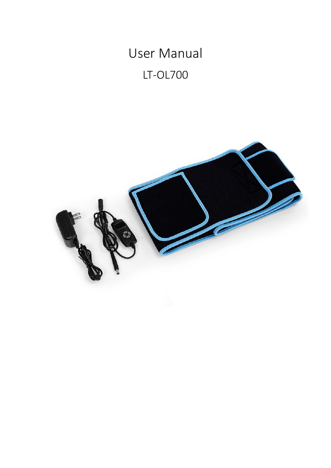User Manual

LT-OL700

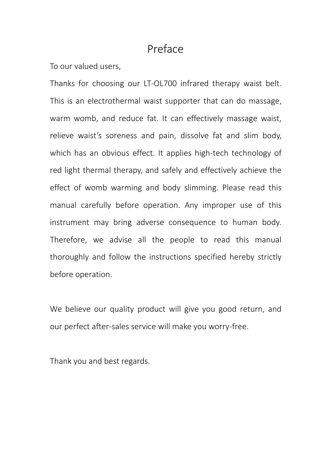### Preface

To our valued users,

Thanks for choosing our LT-OL700 infrared therapy waist belt. This is an electrothermal waist supporter that can do massage, warm womb, and reduce fat. It can effectively massage waist, relieve waist's soreness and pain, dissolve fat and slim body, which has an obvious effect. It applies high-tech technology of red light thermal therapy, and safely and effectively achieve the effect of womb warming and body slimming. Please read this manual carefully before operation. Any improper use of this instrument may bring adverse consequence to human body. Therefore, we advise all the people to read this manual thoroughly and follow the instructions specified hereby strictly before operation.

We believe our quality product will give you good return, and our perfect after-sales service will make you worry-free.

Thank you and best regards.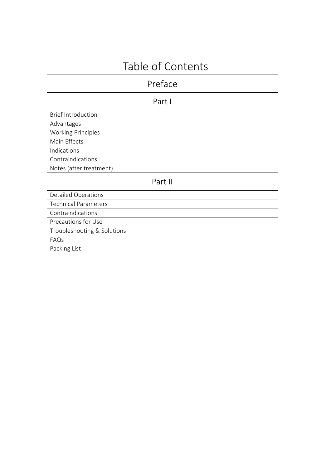# Table of Contents

| Preface                     |  |
|-----------------------------|--|
| Part I                      |  |
| <b>Brief Introduction</b>   |  |
| Advantages                  |  |
| <b>Working Principles</b>   |  |
| Main Effects                |  |
| Indications                 |  |
| Contraindications           |  |
| Notes (after treatment)     |  |
| Part II                     |  |
| <b>Detailed Operations</b>  |  |
| <b>Technical Parameters</b> |  |
| Contraindications           |  |
| Precautions for Use         |  |
| Troubleshooting & Solutions |  |
| FAQs                        |  |
| Packing List                |  |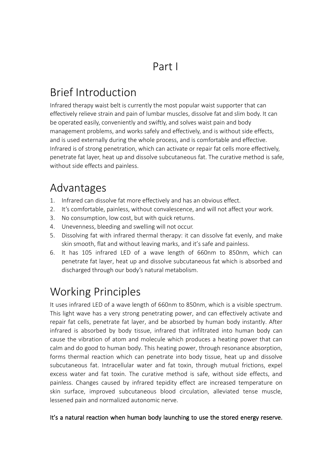Part I

# Brief Introduction

Infrared therapy waist belt is currently the most popular waist supporter that can effectively relieve strain and pain of lumbar muscles, dissolve fat and slim body. It can be operated easily, conveniently and swiftly, and solves waist pain and body management problems, and works safely and effectively, and is without side effects, and is used externally during the whole process, and is comfortable and effective. Infrared is of strong penetration, which can activate or repair fat cells more effectively, penetrate fat layer, heat up and dissolve subcutaneous fat. The curative method is safe, without side effects and painless.

## Advantages

- 1. Infrared can dissolve fat more effectively and has an obvious effect.
- 2. It's comfortable, painless, without convalescence, and will not affect your work.
- 3. No consumption, low cost, but with quick returns.
- 4. Unevenness, bleeding and swelling will not occur.
- 5. Dissolving fat with infrared thermal therapy: it can dissolve fat evenly, and make skin smooth, flat and without leaving marks, and it's safe and painless.
- 6. It has 105 infrared LED of a wave length of 660nm to 850nm, which can penetrate fat layer, heat up and dissolve subcutaneous fat which is absorbed and discharged through our body's natural metabolism.

# Working Principles

It uses infrared LED of a wave length of 660nm to 850nm, which is a visible spectrum. This light wave has a very strong penetrating power, and can effectively activate and repair fat cells, penetrate fat layer, and be absorbed by human body instantly. After infrared is absorbed by body tissue, infrared that infiltrated into human body can cause the vibration of atom and molecule which produces a heating power that can calm and do good to human body. This heating power, through resonance absorption, forms thermal reaction which can penetrate into body tissue, heat up and dissolve subcutaneous fat. Intracellular water and fat toxin, through mutual frictions, expel excess water and fat toxin. The curative method is safe, without side effects, and painless. Changes caused by infrared tepidity effect are increased temperature on skin surface, improved subcutaneous blood circulation, alleviated tense muscle, lessened pain and normalized autonomic nerve.

#### It's a natural reaction when human body launching to use the stored energy reserve.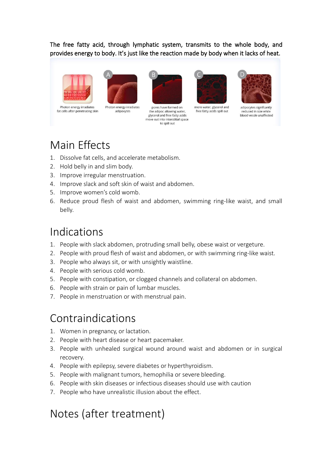#### The free fatty acid, through lymphatic system, transmits to the whole body, and provides energy to body. It's just like the reaction made by body when it lacks of heat.





Photon energy irradiates fat cells after penetrating skin

Photon energy irradiates adipovytes



pores have formed on the adipoc allowing water glycerol and free fatty acids move out into interstitial space to spill out



more water, glycerol and free fatty acids spill out



adipocytes signifcantly reduced in size while blood vessle unaffected

# Main Effects

- 1. Dissolve fat cells, and accelerate metabolism.
- 2. Hold belly in and slim body.
- 3. Improve irregular menstruation.
- 4. Improve slack and soft skin of waist and abdomen.
- 5. Improve women's cold womb.
- 6. Reduce proud flesh of waist and abdomen, swimming ring-like waist, and small belly.

## Indications

- 1. People with slack abdomen, protruding small belly, obese waist or vergeture.
- 2. People with proud flesh of waist and abdomen, or with swimming ring-like waist.
- 3. People who always sit, or with unsightly waistline.
- 4. People with serious cold womb.
- 5. People with constipation, or clogged channels and collateral on abdomen.
- 6. People with strain or pain of lumbar muscles.
- 7. People in menstruation or with menstrual pain.

## Contraindications

- 1. Women in pregnancy, or lactation.
- 2. People with heart disease or heart pacemaker.
- 3. People with unhealed surgical wound around waist and abdomen or in surgical recovery.
- 4. People with epilepsy, severe diabetes or hyperthyroidism.
- 5. People with malignant tumors, hemophilia or severe bleeding.
- 6. People with skin diseases or infectious diseases should use with caution
- 7. People who have unrealistic illusion about the effect.

# Notes (after treatment)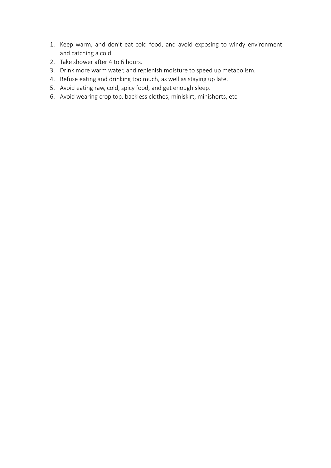- 1. Keep warm, and don't eat cold food, and avoid exposing to windy environment and catching a cold
- 2. Take shower after 4 to 6 hours.
- 3. Drink more warm water, and replenish moisture to speed up metabolism.<br>4. Refuse eating and drinking too much, as well as staying up late.
- 
- 5. Avoid eating raw, cold, spicy food, and get enough sleep.
- 6. Avoid wearing crop top, backless clothes, miniskirt, minishorts, etc.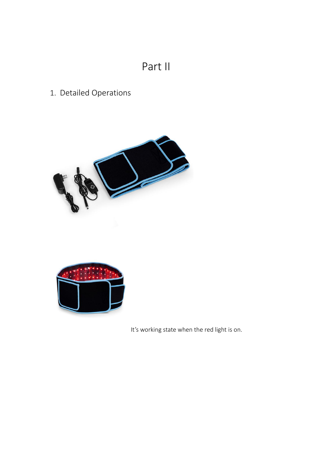# Part II

## 1. Detailed Operations





It's working state when the red light is on.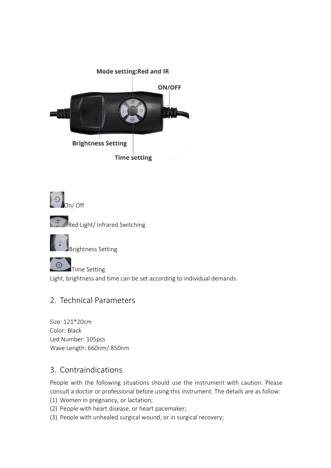







 $\Theta$ **Time Setting** Light, brightness and time can be set according to individual demands.

### 2. Technical Parameters

Size: 121\*20cm Color: Black Led Number: 105pcs Wave Length: 660nm/ 850nm

### 3. Contraindications

People with the following situations should use the instrument with caution. Please consult a doctor or professional before using this instrument. The details are as follow:

- (1) Women in pregnancy, or lactation;
- (2) People with heart disease, or heart pacemaker;
- (3) People with unhealed surgical wound, or in surgical recovery;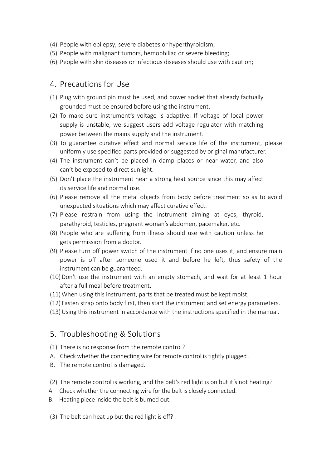- (4) People with epilepsy, severe diabetes or hyperthyroidism;
- (5) People with malignant tumors, hemophiliac or severe bleeding;
- (6) People with skin diseases or infectious diseases should use with caution;

#### 4. Precautions for Use

- (1) Plug with ground pin must be used, and power socket that already factually grounded must be ensured before using the instrument.
- (2) To make sure instrument's voltage is adaptive. If voltage of local power supply is unstable, we suggest users add voltage regulator with matching power between the mains supply and the instrument.
- (3) To guarantee curative effect and normal service life of the instrument, please uniformly use specified parts provided or suggested by original manufacturer.
- (4) The instrument can't be placed in damp places or near water, and also can't be exposed to direct sunlight.
- (5) Don't place the instrument near a strong heat source since this may affect its service life and normal use.
- (6) Please remove all the metal objects from body before treatment so as to avoid unexpected situations which may affect curative effect.
- (7) Please restrain from using the instrument aiming at eyes, thyroid, parathyroid, testicles, pregnant woman's abdomen, pacemaker, etc.
- (8) People who are suffering from illness should use with caution unless he gets permission from a doctor.
- (9) Please turn off power switch of the instrument if no one uses it, and ensure main power is off after someone used it and before he left, thus safety of the instrument can be guaranteed.
- (10)Don't use the instrument with an empty stomach, and wait for at least 1 hour after a full meal before treatment.
- (11)When using this instrument, parts that be treated must be kept moist.
- (12) Fasten strap onto body first, then start the instrument and set energy parameters.
- (13)Using this instrument in accordance with the instructions specified in the manual.

#### 5. Troubleshooting & Solutions

- (1) There is no response from the remote control?
- A. Check whether the connecting wire for remote control is tightly plugged .
- B. The remote control is damaged.
- (2) The remote control is working, and the belt's red light is on but it's not heating?
- A. Check whether the connecting wire for the belt is closely connected.
- B. Heating piece inside the belt is burned out.
- (3) The belt can heat up but the red light is off?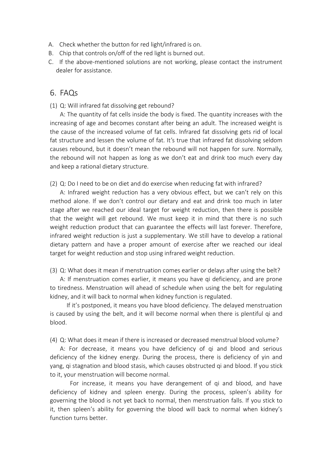- A. Check whether the button for red light/infrared is on.
- B. Chip that controls on/off of the red light is burned out.
- C. If the above-mentioned solutions are not working, please contact the instrument dealer for assistance.

#### 6. FAQs

(1) Q: Will infrared fat dissolving get rebound?

A: The quantity of fat cells inside the body is fixed. The quantity increases with the increasing of age and becomes constant after being an adult. The increased weight is the cause of the increased volume of fat cells. Infrared fat dissolving gets rid of local fat structure and lessen the volume of fat. It's true that infrared fat dissolving seldom causes rebound, but it doesn't mean the rebound will not happen for sure. Normally, the rebound will not happen as long as we don't eat and drink too much every day and keep a rational dietary structure.

(2) Q: Do I need to be on diet and do exercise when reducing fat with infrared?

A: Infrared weight reduction has a very obvious effect, but we can't rely on this method alone. If we don't control our dietary and eat and drink too much in later stage after we reached our ideal target for weight reduction, then there is possible that the weight will get rebound. We must keep it in mind that there is no such weight reduction product that can guarantee the effects will last forever. Therefore, infrared weight reduction is just a supplementary. We still have to develop a rational dietary pattern and have a proper amount of exercise after we reached our ideal target for weight reduction and stop using infrared weight reduction.

(3) Q: What does it mean if menstruation comes earlier or delays after using the belt?

A: If menstruation comes earlier, it means you have qi deficiency, and are prone to tiredness. Menstruation will ahead of schedule when using the belt for regulating kidney, and it will back to normalwhen kidney function is regulated.

If it's postponed, it means you have blood deficiency. The delayed menstruation is caused by using the belt, and it will become normal when there is plentiful qi and blood.

(4) Q: What does it mean if there is increased or decreased menstrual blood volume?

A: For decrease, it means you have deficiency of qi and blood and serious [deficiency](javascript:;) [of](javascript:;) [the](javascript:;) [kidney](javascript:;) energy. During the process, there is deficiency of yin and yang, qi stagnation and blood stasis, which causes obstructed qi and blood. If you stick to it, your menstruation will become normal.

For increase, it means you have derangement of qi and blood, and have deficiency of kidney and spleen energy. During the process, spleen's ability for governing the blood is not yet back to normal, then menstruation falls. If you stick to it, then spleen's ability for governing the blood will back to normal when kidney's function turns better.